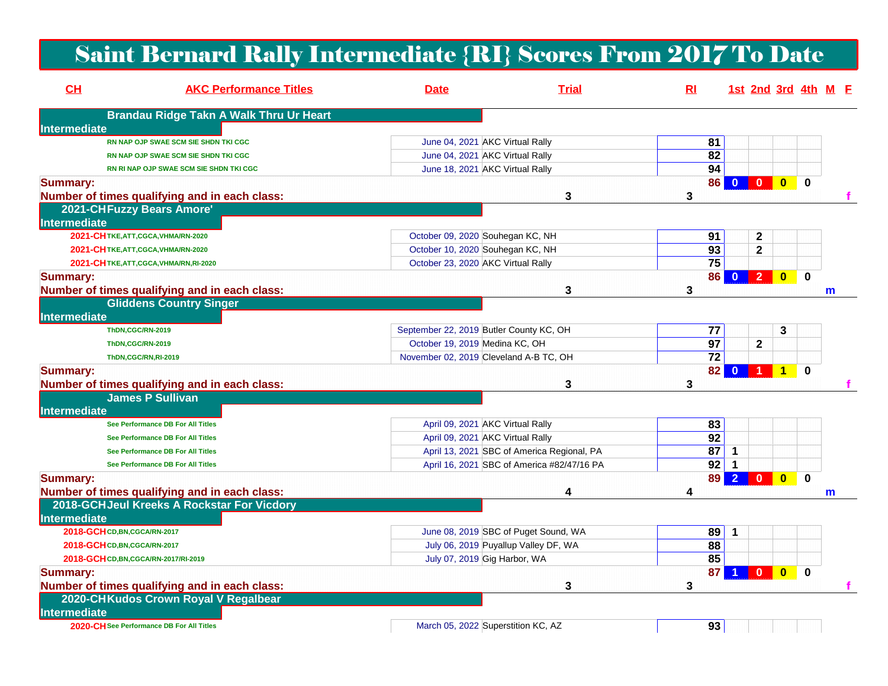## Saint Bernard Rally Intermediate {RI} Scores From 2017 To Date

| CH                  | <b>AKC Performance Titles</b>                  | <b>Date</b>                        | <b>Trial</b>                               | R1 |                                | 1st 2nd 3rd 4th M E            |              |             |   |  |
|---------------------|------------------------------------------------|------------------------------------|--------------------------------------------|----|--------------------------------|--------------------------------|--------------|-------------|---|--|
|                     | <b>Brandau Ridge Takn A Walk Thru Ur Heart</b> |                                    |                                            |    |                                |                                |              |             |   |  |
| Intermediate        |                                                |                                    |                                            |    |                                |                                |              |             |   |  |
|                     | RN NAP OJP SWAE SCM SIE SHDN TKI CGC           |                                    | June 04, 2021 AKC Virtual Rally            |    | 81                             |                                |              |             |   |  |
|                     | RN NAP OJP SWAE SCM SIE SHDN TKI CGC           |                                    | June 04, 2021 AKC Virtual Rally            |    | 82                             |                                |              |             |   |  |
|                     | RN RI NAP OJP SWAE SCM SIE SHDN TKI CGC        |                                    | June 18, 2021 AKC Virtual Rally            |    | 94                             |                                |              |             |   |  |
| <b>Summary:</b>     |                                                |                                    |                                            |    | 86                             | $\mathbf{0}$<br>$\bf{0}$       | $\bf{0}$     | $\mathbf 0$ |   |  |
|                     | Number of times qualifying and in each class:  |                                    | 3                                          | 3  |                                |                                |              |             |   |  |
|                     | 2021-CHFuzzy Bears Amore'                      |                                    |                                            |    |                                |                                |              |             |   |  |
| Intermediate        |                                                |                                    |                                            |    |                                |                                |              |             |   |  |
|                     | 2021-CHTKE, ATT, CGCA, VHMA/RN-2020            |                                    | October 09, 2020 Souhegan KC, NH           |    | 91                             | $\mathbf 2$                    |              |             |   |  |
|                     | 2021-CH TKE, ATT, CGCA, VHMA/RN-2020           |                                    | October 10, 2020 Souhegan KC, NH           |    | $\overline{93}$                | $\mathbf{2}$                   |              |             |   |  |
|                     | 2021-CHTKE, ATT, CGCA, VHMA/RN, RI-2020        | October 23, 2020 AKC Virtual Rally |                                            |    | 75                             |                                |              |             |   |  |
| <b>Summary:</b>     |                                                |                                    |                                            |    | 86                             | $\overline{2}$<br>$\bf{0}$     | $\bf{0}$     | $\mathbf 0$ |   |  |
|                     | Number of times qualifying and in each class:  |                                    | 3                                          | 3  |                                |                                |              |             | m |  |
|                     | <b>Gliddens Country Singer</b>                 |                                    |                                            |    |                                |                                |              |             |   |  |
| <b>Intermediate</b> |                                                |                                    |                                            |    |                                |                                |              |             |   |  |
|                     | ThDN,CGC/RN-2019                               |                                    | September 22, 2019 Butler County KC, OH    |    | 77                             |                                | 3            |             |   |  |
|                     | ThDN,CGC/RN-2019                               | October 19, 2019 Medina KC, OH     |                                            |    | $\overline{97}$                | $\mathbf 2$                    |              |             |   |  |
|                     | ThDN,CGC/RN,RI-2019                            |                                    | November 02, 2019 Cleveland A-B TC, OH     |    | $\overline{72}$                |                                |              |             |   |  |
| <b>Summary:</b>     |                                                |                                    |                                            |    | 82                             | $\mathbf{0}$                   | 1            | $\bf{0}$    |   |  |
|                     | Number of times qualifying and in each class:  |                                    | 3                                          | 3  |                                |                                |              |             |   |  |
|                     | <b>James P Sullivan</b>                        |                                    |                                            |    |                                |                                |              |             |   |  |
| <b>Intermediate</b> |                                                |                                    |                                            |    |                                |                                |              |             |   |  |
|                     | See Performance DB For All Titles              |                                    | April 09, 2021 AKC Virtual Rally           |    | 83                             |                                |              |             |   |  |
|                     | See Performance DB For All Titles              |                                    | April 09, 2021 AKC Virtual Rally           |    | $\overline{92}$                |                                |              |             |   |  |
|                     | See Performance DB For All Titles              |                                    | April 13, 2021 SBC of America Regional, PA |    | 87                             | $\mathbf 1$                    |              |             |   |  |
|                     | See Performance DB For All Titles              |                                    | April 16, 2021 SBC of America #82/47/16 PA |    | $\overline{92}$<br>$\mathbf 1$ |                                |              |             |   |  |
| <b>Summary:</b>     |                                                |                                    |                                            |    | 89                             | $\overline{2}$<br>$\mathbf{0}$ | $\mathbf{0}$ | $\mathbf 0$ |   |  |
|                     | Number of times qualifying and in each class:  |                                    | 4                                          | 4  |                                |                                |              |             | m |  |
|                     | 2018-GCHJeul Kreeks A Rockstar For Vicdory     |                                    |                                            |    |                                |                                |              |             |   |  |
| Intermediate        |                                                |                                    |                                            |    |                                |                                |              |             |   |  |
|                     | 2018-GCH CD, BN, CGCA/RN-2017                  |                                    | June 08, 2019 SBC of Puget Sound, WA       |    | 89<br>$\overline{\mathbf{1}}$  |                                |              |             |   |  |
|                     | 2018-GCH CD, BN, CGCA/RN-2017                  |                                    | July 06, 2019 Puyallup Valley DF, WA       |    | 88                             |                                |              |             |   |  |
|                     | 2018-GCH CD, BN, CGCA/RN-2017/RI-2019          |                                    | July 07, 2019 Gig Harbor, WA               |    | 85                             |                                |              |             |   |  |
| <b>Summary:</b>     |                                                |                                    |                                            |    | 87                             | $\mathbf{0}$                   | $\mathbf{0}$ | $\bf{0}$    |   |  |
|                     | Number of times qualifying and in each class:  |                                    | 3                                          | 3  |                                |                                |              |             |   |  |
|                     | 2020-CHKudos Crown Royal V Regalbear           |                                    |                                            |    |                                |                                |              |             |   |  |
| Intermediate        |                                                |                                    |                                            |    |                                |                                |              |             |   |  |
|                     | 2020-CH See Performance DB For All Titles      |                                    | March 05, 2022 Superstition KC, AZ         |    | 93                             |                                |              |             |   |  |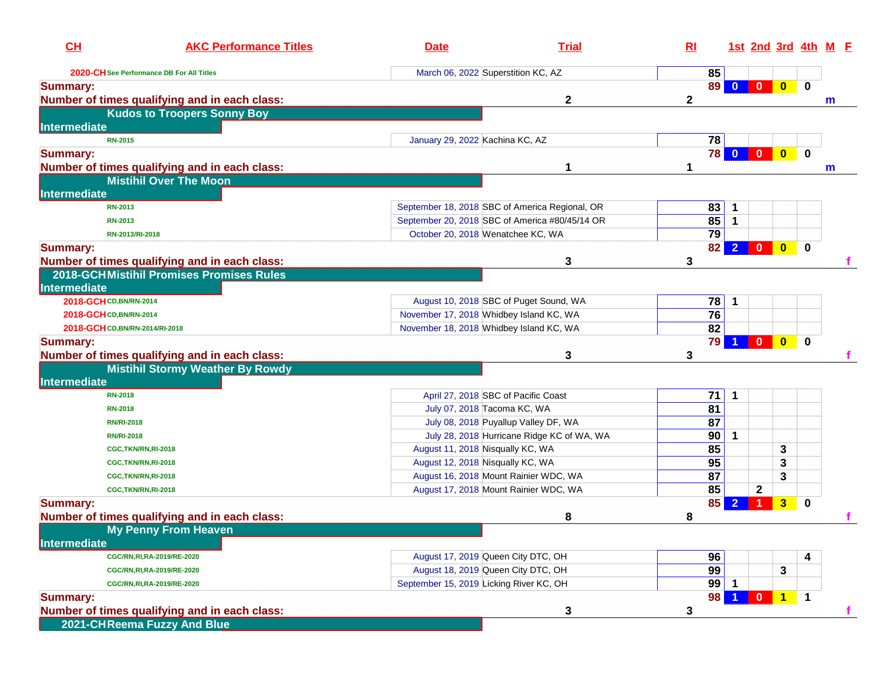| CL                              | <b>AKC Performance Titles</b>                                                            | <b>Date</b>                                    | <b>Trial</b>                               | $R_{\rm I}$ |    | 1st 2nd 3rd 4th M E            |              |          |   |
|---------------------------------|------------------------------------------------------------------------------------------|------------------------------------------------|--------------------------------------------|-------------|----|--------------------------------|--------------|----------|---|
|                                 | 2020-CH See Performance DB For All Titles                                                | March 06, 2022 Superstition KC, AZ             |                                            |             | 85 |                                |              |          |   |
| <b>Summary:</b>                 |                                                                                          |                                                |                                            |             | 89 | $\mathbf{0}$<br>$\bf{0}$       | $\mathbf{0}$ | 0        |   |
|                                 | Number of times qualifying and in each class:                                            |                                                | 2                                          | 2           |    |                                |              |          | m |
|                                 | <b>Kudos to Troopers Sonny Boy</b>                                                       |                                                |                                            |             |    |                                |              |          |   |
| Intermediate                    |                                                                                          |                                                |                                            |             |    |                                |              |          |   |
| <b>RN-2015</b>                  |                                                                                          | January 29, 2022 Kachina KC, AZ                |                                            |             | 78 |                                |              |          |   |
| <b>Summary:</b>                 |                                                                                          |                                                |                                            |             | 78 | $\mathbf{0}$<br>$\bf{0}$       | $\mathbf{0}$ | 0        |   |
|                                 | Number of times qualifying and in each class:                                            |                                                |                                            | 1           |    |                                |              |          | m |
|                                 | <b>Mistihil Over The Moon</b>                                                            |                                                |                                            |             |    |                                |              |          |   |
| Intermediate                    |                                                                                          |                                                |                                            |             |    |                                |              |          |   |
| <b>RN-2013</b>                  |                                                                                          | September 18, 2018 SBC of America Regional, OR |                                            |             | 83 | $\mathbf 1$                    |              |          |   |
| <b>RN-2013</b>                  |                                                                                          | September 20, 2018 SBC of America #80/45/14 OR |                                            |             | 85 | $\mathbf{1}$                   |              |          |   |
|                                 | RN-2013/RI-2018                                                                          | October 20, 2018 Wenatchee KC, WA              |                                            |             | 79 |                                |              |          |   |
| <b>Summary:</b>                 |                                                                                          |                                                |                                            |             | 82 | $\overline{2}$<br>$\mathbf{0}$ | $\mathbf{0}$ | $\bf{0}$ |   |
|                                 | Number of times qualifying and in each class:                                            |                                                | 3                                          | 3           |    |                                |              |          |   |
|                                 | 2018-GCHMistihil Promises Promises Rules                                                 |                                                |                                            |             |    |                                |              |          |   |
| Intermediate                    |                                                                                          |                                                |                                            |             |    |                                |              |          |   |
| 2018-GCH CD, BN/RN-2014         |                                                                                          | August 10, 2018 SBC of Puget Sound, WA         |                                            |             | 78 | $\mathbf 1$                    |              |          |   |
| 2018-GCH CD, BN/RN-2014         |                                                                                          | November 17, 2018 Whidbey Island KC, WA        |                                            |             | 76 |                                |              |          |   |
| 2018-GCH CD, BN/RN-2014/RI-2018 |                                                                                          | November 18, 2018 Whidbey Island KC, WA        |                                            |             | 82 |                                |              |          |   |
| <b>Summary:</b>                 | Number of times qualifying and in each class:<br><b>Mistihil Stormy Weather By Rowdy</b> |                                                | 3                                          | 3           | 79 | 0                              | $\mathbf{0}$ | $\bf{0}$ |   |
| Intermediate                    |                                                                                          |                                                |                                            |             |    |                                |              |          |   |
| <b>RN-2018</b>                  |                                                                                          | April 27, 2018 SBC of Pacific Coast            |                                            |             | 71 | $\mathbf 1$                    |              |          |   |
| <b>RN-2018</b>                  |                                                                                          | July 07, 2018 Tacoma KC, WA                    |                                            | 81          |    |                                |              |          |   |
| <b>RN/RI-2018</b>               |                                                                                          | July 08, 2018 Puyallup Valley DF, WA           |                                            | 87          |    |                                |              |          |   |
| <b>RN/RI-2018</b>               |                                                                                          |                                                | July 28, 2018 Hurricane Ridge KC of WA, WA |             | 90 | 1                              |              |          |   |
|                                 | CGC, TKN/RN, RI-2018                                                                     | August 11, 2018 Nisqually KC, WA               |                                            | 85          |    |                                | 3            |          |   |
|                                 | CGC, TKN/RN, RI-2018                                                                     | August 12, 2018 Nisqually KC, WA               |                                            | 95          |    |                                | 3            |          |   |
|                                 | CGC, TKN/RN, RI-2018                                                                     | August 16, 2018 Mount Rainier WDC, WA          |                                            | 87          |    |                                | 3            |          |   |
|                                 | CGC, TKN/RN, RI-2018                                                                     | August 17, 2018 Mount Rainier WDC, WA          |                                            |             | 85 | $\mathbf{2}$                   |              |          |   |
| <b>Summary:</b>                 |                                                                                          |                                                |                                            |             | 85 | $\overline{2}$<br>1            | 3            | $\bf{0}$ |   |
|                                 | Number of times qualifying and in each class:                                            |                                                | 8                                          | 8           |    |                                |              |          |   |
|                                 | <b>My Penny From Heaven</b>                                                              |                                                |                                            |             |    |                                |              |          |   |
| <b>Intermediate</b>             |                                                                                          |                                                |                                            |             |    |                                |              |          |   |
|                                 | CGC/RN,RI,RA-2019/RE-2020                                                                | August 17, 2019 Queen City DTC, OH             |                                            |             | 96 |                                |              | 4        |   |
|                                 | CGC/RN, RI, RA-2019/RE-2020                                                              | August 18, 2019 Queen City DTC, OH             |                                            |             | 99 |                                | 3            |          |   |
|                                 | CGC/RN, RI, RA-2019/RE-2020                                                              | September 15, 2019 Licking River KC, OH        |                                            |             | 99 | $\mathbf 1$                    |              |          |   |
| <b>Summary:</b>                 |                                                                                          |                                                |                                            |             | 98 | $\mathbf{0}$                   | $\mathbf 1$  | -1       |   |
|                                 | Number of times qualifying and in each class:                                            |                                                | 3                                          | 3           |    |                                |              |          |   |
|                                 | 2021-CHReema Fuzzy And Blue                                                              |                                                |                                            |             |    |                                |              |          |   |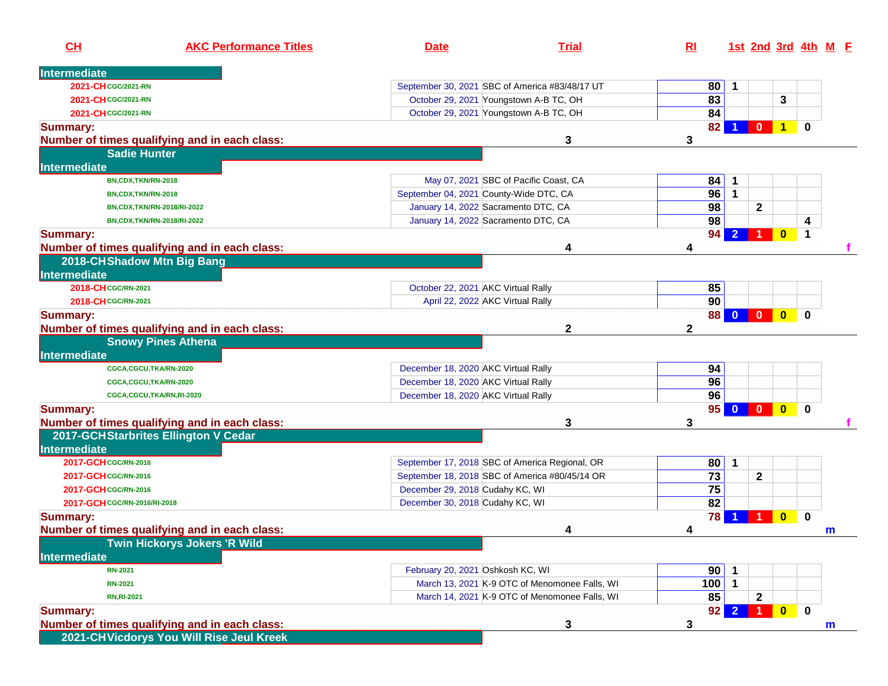| CH                           | <b>AKC Performance Titles</b>                 | <b>Date</b>                                    | <b>Trial</b>                                  | R <sub>l</sub> |                      |              |                      |             | 1st 2nd 3rd 4th M E |
|------------------------------|-----------------------------------------------|------------------------------------------------|-----------------------------------------------|----------------|----------------------|--------------|----------------------|-------------|---------------------|
| Intermediate                 |                                               |                                                |                                               |                |                      |              |                      |             |                     |
| 2021-CH CGC/2021-RN          |                                               | September 30, 2021 SBC of America #83/48/17 UT |                                               | 80             | $\mathbf 1$          |              |                      |             |                     |
| 2021-CH CGC/2021-RN          |                                               | October 29, 2021 Youngstown A-B TC, OH         |                                               | 83             |                      |              | 3                    |             |                     |
| 2021-CH CGC/2021-RN          |                                               | October 29, 2021 Youngstown A-B TC, OH         |                                               | 84             |                      |              |                      |             |                     |
| <b>Summary:</b>              | Number of times qualifying and in each class: |                                                | 3                                             | 82<br>3        |                      | $\bf{0}$     | $\blacktriangleleft$ | 0           |                     |
|                              | <b>Sadie Hunter</b>                           |                                                |                                               |                |                      |              |                      |             |                     |
| <b>Intermediate</b>          |                                               |                                                |                                               |                |                      |              |                      |             |                     |
|                              | BN,CDX,TKN/RN-2018                            |                                                | May 07, 2021 SBC of Pacific Coast, CA         | 84             | $\mathbf 1$          |              |                      |             |                     |
|                              | BN,CDX,TKN/RN-2018                            | September 04, 2021 County-Wide DTC, CA         |                                               | 96             | $\overline{1}$       |              |                      |             |                     |
|                              | BN,CDX,TKN/RN-2018/RI-2022                    | January 14, 2022 Sacramento DTC, CA            |                                               | 98             |                      | $\mathbf{2}$ |                      |             |                     |
|                              | BN,CDX,TKN/RN-2018/RI-2022                    | January 14, 2022 Sacramento DTC, CA            |                                               | 98             |                      |              |                      | 4           |                     |
| <b>Summary:</b>              |                                               |                                                |                                               | 94             |                      |              | $\bf{0}$             | $\mathbf 1$ |                     |
|                              | Number of times qualifying and in each class: |                                                | 4                                             | 4              |                      |              |                      |             |                     |
|                              | 2018-CH Shadow Mtn Big Bang                   |                                                |                                               |                |                      |              |                      |             |                     |
| Intermediate                 |                                               |                                                |                                               |                |                      |              |                      |             |                     |
| 2018-CH CGC/RN-2021          |                                               | October 22, 2021 AKC Virtual Rally             |                                               | 85             |                      |              |                      |             |                     |
| 2018-CH CGC/RN-2021          |                                               | April 22, 2022 AKC Virtual Rally               |                                               | 90             |                      |              |                      |             |                     |
| <b>Summary:</b>              |                                               |                                                |                                               | 88             | $\Omega$             | $\mathbf{0}$ | $\mathbf{0}$         | 0           |                     |
|                              | Number of times qualifying and in each class: |                                                | $\mathbf{2}$                                  | $\mathbf{2}$   |                      |              |                      |             |                     |
|                              | <b>Snowy Pines Athena</b>                     |                                                |                                               |                |                      |              |                      |             |                     |
| <b>Intermediate</b>          |                                               |                                                |                                               |                |                      |              |                      |             |                     |
|                              | CGCA,CGCU,TKA/RN-2020                         | December 18, 2020 AKC Virtual Rally            |                                               | 94             |                      |              |                      |             |                     |
|                              | CGCA,CGCU,TKA/RN-2020                         | December 18, 2020 AKC Virtual Rally            |                                               | 96             |                      |              |                      |             |                     |
|                              | CGCA,CGCU,TKA/RN,RI-2020                      | December 18, 2020 AKC Virtual Rally            |                                               | 96             |                      |              |                      |             |                     |
| <b>Summary:</b>              |                                               |                                                |                                               | 95             | $\mathbf{0}$         | $\mathbf{0}$ | $\bf{0}$             | $\mathbf 0$ |                     |
|                              | Number of times qualifying and in each class: |                                                | 3                                             | 3              |                      |              |                      |             |                     |
|                              | 2017-GCH Starbrites Ellington V Cedar         |                                                |                                               |                |                      |              |                      |             |                     |
| Intermediate                 |                                               |                                                |                                               |                |                      |              |                      |             |                     |
| 2017-GCH CGC/RN-2016         |                                               | September 17, 2018 SBC of America Regional, OR |                                               | 80             | $\blacktriangleleft$ |              |                      |             |                     |
| 2017-GCH CGC/RN-2016         |                                               | September 18, 2018 SBC of America #80/45/14 OR |                                               | 73             |                      | $\mathbf{2}$ |                      |             |                     |
| 2017-GCH CGC/RN-2016         |                                               | December 29, 2018 Cudahy KC, WI                |                                               | 75             |                      |              |                      |             |                     |
| 2017-GCH CGC/RN-2016/RI-2018 |                                               | December 30, 2018 Cudahy KC, WI                |                                               | 82             |                      |              |                      |             |                     |
| <b>Summary:</b>              |                                               |                                                |                                               | 78             |                      |              | $\bf{0}$             | $\bf{0}$    |                     |
|                              | Number of times qualifying and in each class: |                                                | 4                                             | 4              |                      |              |                      |             | m                   |
|                              | <b>Twin Hickorys Jokers 'R Wild</b>           |                                                |                                               |                |                      |              |                      |             |                     |
| <b>Intermediate</b>          |                                               |                                                |                                               |                |                      |              |                      |             |                     |
| <b>RN-2021</b>               |                                               | February 20, 2021 Oshkosh KC, WI               |                                               | 90             | $\overline{1}$       |              |                      |             |                     |
| <b>RN-2021</b>               |                                               |                                                | March 13, 2021 K-9 OTC of Menomonee Falls, WI | 100            | $\vert$ 1            |              |                      |             |                     |
| <b>RN, RI-2021</b>           |                                               |                                                | March 14, 2021 K-9 OTC of Menomonee Falls, WI | 85             |                      | $\mathbf{2}$ |                      |             |                     |
| <b>Summary:</b>              |                                               |                                                |                                               | 92             | $\mathbf{2}$         | $\mathbf{1}$ | $\mathbf{0}$         | $\bf{0}$    |                     |
|                              | Number of times qualifying and in each class: |                                                | 3                                             | 3              |                      |              |                      |             | m                   |
|                              | 2021-CHVicdorys You Will Rise Jeul Kreek      |                                                |                                               |                |                      |              |                      |             |                     |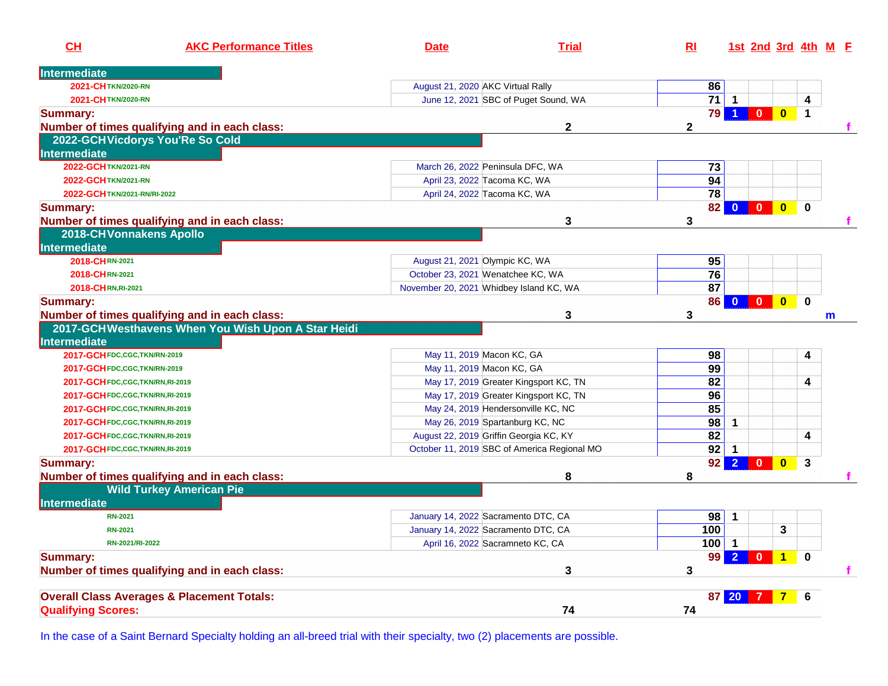| Intermediate<br>2021-CHTKN/2020-RN<br>August 21, 2020 AKC Virtual Rally<br>86<br>$71$ 1<br>June 12, 2021 SBC of Puget Sound, WA<br>$\overline{\mathbf{4}}$<br>2021-CHTKN/2020-RN<br>$\overline{\mathbf{0}}$<br>79<br>$\overline{0}$<br>$\mathbf{1}$<br>$\blacktriangleleft$<br>Number of times qualifying and in each class:<br>$\mathbf 2$<br>$\mathbf{2}$<br>2022-GCHVicdorys You'Re So Cold<br>Intermediate<br>$\overline{73}$<br>2022-GCH TKN/2021-RN<br>March 26, 2022 Peninsula DFC, WA<br>94<br>April 23, 2022 Tacoma KC, WA<br>2022-GCH TKN/2021-RN<br>$\overline{78}$<br>April 24, 2022 Tacoma KC, WA<br>2022-GCH TKN/2021-RN/RI-2022<br>82<br>$\mathbf{0}$<br>$\overline{\mathbf{0}}$<br>$\mathbf 0$<br>$\mathbf{0}$<br>Number of times qualifying and in each class:<br>3<br>3<br><b>2018-CHVonnakens Apollo</b><br>Intermediate<br>95<br>August 21, 2021 Olympic KC, WA<br>2018-CHRN-2021<br>76<br>October 23, 2021 Wenatchee KC, WA<br>2018-CHRN-2021<br>87<br>2018-CHRN, RI-2021<br>November 20, 2021 Whidbey Island KC, WA<br>$\mathbf 0$<br>86<br>$\mathbf{0}$<br>$\mathbf{0}$<br>$\mathbf{0}$<br>Number of times qualifying and in each class:<br>3<br>3<br>m<br>2017-GCHWesthavens When You Wish Upon A Star Heidi<br>Intermediate<br>98<br>2017-GCH FDC, CGC, TKN/RN-2019<br>May 11, 2019 Macon KC, GA<br>4<br>99<br>May 11, 2019 Macon KC, GA<br>2017-GCH FDC, CGC, TKN/RN-2019<br>82<br>May 17, 2019 Greater Kingsport KC, TN<br>4<br>2017-GCH FDC, CGC, TKN/RN, RI-2019<br>96<br>May 17, 2019 Greater Kingsport KC, TN<br>2017-GCH FDC, CGC, TKN/RN, RI-2019<br>85<br>May 24, 2019 Hendersonville KC, NC<br>2017-GCH FDC, CGC, TKN/RN, RI-2019<br>$\overline{98}$<br>May 26, 2019 Spartanburg KC, NC<br>$\mathbf 1$<br>2017-GCH FDC, CGC, TKN/RN, RI-2019<br>82<br>4<br>August 22, 2019 Griffin Georgia KC, KY<br>2017-GCH FDC, CGC, TKN/RN, RI-2019<br>$92$ 1<br>October 11, 2019 SBC of America Regional MO<br>2017-GCH FDC, CGC, TKN/RN, RI-2019<br>$\overline{2}$<br>92<br>$\overline{0}$<br>$\mathbf{0}$<br>$\overline{3}$<br><b>Summary:</b><br>8<br>8<br>Number of times qualifying and in each class:<br><b>Wild Turkey American Pie</b><br>Intermediate<br>98<br>January 14, 2022 Sacramento DTC, CA<br>$\overline{1}$<br><b>RN-2021</b><br>January 14, 2022 Sacramento DTC, CA<br>100<br>3<br><b>RN-2021</b><br>April 16, 2022 Sacramneto KC, CA<br>$100$ 1<br>RN-2021/RI-2022<br>2 <sup>1</sup><br>99<br>$\overline{0}$<br>$\mathbf{1}$<br>$\mathbf 0$<br><b>Summary:</b><br>3<br>3<br>Number of times qualifying and in each class:<br><b>Overall Class Averages &amp; Placement Totals:</b><br>6<br>87 20<br><b>Qualifying Scores:</b><br>74<br>74 | CH              | <b>AKC Performance Titles</b> | <b>Date</b> | <b>Trial</b> | $R_{\rm I}$ | 1st 2nd 3rd 4th M E |  |  |
|---------------------------------------------------------------------------------------------------------------------------------------------------------------------------------------------------------------------------------------------------------------------------------------------------------------------------------------------------------------------------------------------------------------------------------------------------------------------------------------------------------------------------------------------------------------------------------------------------------------------------------------------------------------------------------------------------------------------------------------------------------------------------------------------------------------------------------------------------------------------------------------------------------------------------------------------------------------------------------------------------------------------------------------------------------------------------------------------------------------------------------------------------------------------------------------------------------------------------------------------------------------------------------------------------------------------------------------------------------------------------------------------------------------------------------------------------------------------------------------------------------------------------------------------------------------------------------------------------------------------------------------------------------------------------------------------------------------------------------------------------------------------------------------------------------------------------------------------------------------------------------------------------------------------------------------------------------------------------------------------------------------------------------------------------------------------------------------------------------------------------------------------------------------------------------------------------------------------------------------------------------------------------------------------------------------------------------------------------------------------------------------------------------------------------------------------------------------------------------------------------------------------------------------------------------------------------------------------------------------------------------------------------------------------------------------|-----------------|-------------------------------|-------------|--------------|-------------|---------------------|--|--|
|                                                                                                                                                                                                                                                                                                                                                                                                                                                                                                                                                                                                                                                                                                                                                                                                                                                                                                                                                                                                                                                                                                                                                                                                                                                                                                                                                                                                                                                                                                                                                                                                                                                                                                                                                                                                                                                                                                                                                                                                                                                                                                                                                                                                                                                                                                                                                                                                                                                                                                                                                                                                                                                                                       |                 |                               |             |              |             |                     |  |  |
|                                                                                                                                                                                                                                                                                                                                                                                                                                                                                                                                                                                                                                                                                                                                                                                                                                                                                                                                                                                                                                                                                                                                                                                                                                                                                                                                                                                                                                                                                                                                                                                                                                                                                                                                                                                                                                                                                                                                                                                                                                                                                                                                                                                                                                                                                                                                                                                                                                                                                                                                                                                                                                                                                       |                 |                               |             |              |             |                     |  |  |
|                                                                                                                                                                                                                                                                                                                                                                                                                                                                                                                                                                                                                                                                                                                                                                                                                                                                                                                                                                                                                                                                                                                                                                                                                                                                                                                                                                                                                                                                                                                                                                                                                                                                                                                                                                                                                                                                                                                                                                                                                                                                                                                                                                                                                                                                                                                                                                                                                                                                                                                                                                                                                                                                                       |                 |                               |             |              |             |                     |  |  |
|                                                                                                                                                                                                                                                                                                                                                                                                                                                                                                                                                                                                                                                                                                                                                                                                                                                                                                                                                                                                                                                                                                                                                                                                                                                                                                                                                                                                                                                                                                                                                                                                                                                                                                                                                                                                                                                                                                                                                                                                                                                                                                                                                                                                                                                                                                                                                                                                                                                                                                                                                                                                                                                                                       | <b>Summary:</b> |                               |             |              |             |                     |  |  |
|                                                                                                                                                                                                                                                                                                                                                                                                                                                                                                                                                                                                                                                                                                                                                                                                                                                                                                                                                                                                                                                                                                                                                                                                                                                                                                                                                                                                                                                                                                                                                                                                                                                                                                                                                                                                                                                                                                                                                                                                                                                                                                                                                                                                                                                                                                                                                                                                                                                                                                                                                                                                                                                                                       |                 |                               |             |              |             |                     |  |  |
|                                                                                                                                                                                                                                                                                                                                                                                                                                                                                                                                                                                                                                                                                                                                                                                                                                                                                                                                                                                                                                                                                                                                                                                                                                                                                                                                                                                                                                                                                                                                                                                                                                                                                                                                                                                                                                                                                                                                                                                                                                                                                                                                                                                                                                                                                                                                                                                                                                                                                                                                                                                                                                                                                       |                 |                               |             |              |             |                     |  |  |
|                                                                                                                                                                                                                                                                                                                                                                                                                                                                                                                                                                                                                                                                                                                                                                                                                                                                                                                                                                                                                                                                                                                                                                                                                                                                                                                                                                                                                                                                                                                                                                                                                                                                                                                                                                                                                                                                                                                                                                                                                                                                                                                                                                                                                                                                                                                                                                                                                                                                                                                                                                                                                                                                                       |                 |                               |             |              |             |                     |  |  |
|                                                                                                                                                                                                                                                                                                                                                                                                                                                                                                                                                                                                                                                                                                                                                                                                                                                                                                                                                                                                                                                                                                                                                                                                                                                                                                                                                                                                                                                                                                                                                                                                                                                                                                                                                                                                                                                                                                                                                                                                                                                                                                                                                                                                                                                                                                                                                                                                                                                                                                                                                                                                                                                                                       |                 |                               |             |              |             |                     |  |  |
|                                                                                                                                                                                                                                                                                                                                                                                                                                                                                                                                                                                                                                                                                                                                                                                                                                                                                                                                                                                                                                                                                                                                                                                                                                                                                                                                                                                                                                                                                                                                                                                                                                                                                                                                                                                                                                                                                                                                                                                                                                                                                                                                                                                                                                                                                                                                                                                                                                                                                                                                                                                                                                                                                       |                 |                               |             |              |             |                     |  |  |
|                                                                                                                                                                                                                                                                                                                                                                                                                                                                                                                                                                                                                                                                                                                                                                                                                                                                                                                                                                                                                                                                                                                                                                                                                                                                                                                                                                                                                                                                                                                                                                                                                                                                                                                                                                                                                                                                                                                                                                                                                                                                                                                                                                                                                                                                                                                                                                                                                                                                                                                                                                                                                                                                                       |                 |                               |             |              |             |                     |  |  |
|                                                                                                                                                                                                                                                                                                                                                                                                                                                                                                                                                                                                                                                                                                                                                                                                                                                                                                                                                                                                                                                                                                                                                                                                                                                                                                                                                                                                                                                                                                                                                                                                                                                                                                                                                                                                                                                                                                                                                                                                                                                                                                                                                                                                                                                                                                                                                                                                                                                                                                                                                                                                                                                                                       | <b>Summary:</b> |                               |             |              |             |                     |  |  |
|                                                                                                                                                                                                                                                                                                                                                                                                                                                                                                                                                                                                                                                                                                                                                                                                                                                                                                                                                                                                                                                                                                                                                                                                                                                                                                                                                                                                                                                                                                                                                                                                                                                                                                                                                                                                                                                                                                                                                                                                                                                                                                                                                                                                                                                                                                                                                                                                                                                                                                                                                                                                                                                                                       |                 |                               |             |              |             |                     |  |  |
|                                                                                                                                                                                                                                                                                                                                                                                                                                                                                                                                                                                                                                                                                                                                                                                                                                                                                                                                                                                                                                                                                                                                                                                                                                                                                                                                                                                                                                                                                                                                                                                                                                                                                                                                                                                                                                                                                                                                                                                                                                                                                                                                                                                                                                                                                                                                                                                                                                                                                                                                                                                                                                                                                       |                 |                               |             |              |             |                     |  |  |
|                                                                                                                                                                                                                                                                                                                                                                                                                                                                                                                                                                                                                                                                                                                                                                                                                                                                                                                                                                                                                                                                                                                                                                                                                                                                                                                                                                                                                                                                                                                                                                                                                                                                                                                                                                                                                                                                                                                                                                                                                                                                                                                                                                                                                                                                                                                                                                                                                                                                                                                                                                                                                                                                                       |                 |                               |             |              |             |                     |  |  |
|                                                                                                                                                                                                                                                                                                                                                                                                                                                                                                                                                                                                                                                                                                                                                                                                                                                                                                                                                                                                                                                                                                                                                                                                                                                                                                                                                                                                                                                                                                                                                                                                                                                                                                                                                                                                                                                                                                                                                                                                                                                                                                                                                                                                                                                                                                                                                                                                                                                                                                                                                                                                                                                                                       |                 |                               |             |              |             |                     |  |  |
|                                                                                                                                                                                                                                                                                                                                                                                                                                                                                                                                                                                                                                                                                                                                                                                                                                                                                                                                                                                                                                                                                                                                                                                                                                                                                                                                                                                                                                                                                                                                                                                                                                                                                                                                                                                                                                                                                                                                                                                                                                                                                                                                                                                                                                                                                                                                                                                                                                                                                                                                                                                                                                                                                       |                 |                               |             |              |             |                     |  |  |
|                                                                                                                                                                                                                                                                                                                                                                                                                                                                                                                                                                                                                                                                                                                                                                                                                                                                                                                                                                                                                                                                                                                                                                                                                                                                                                                                                                                                                                                                                                                                                                                                                                                                                                                                                                                                                                                                                                                                                                                                                                                                                                                                                                                                                                                                                                                                                                                                                                                                                                                                                                                                                                                                                       |                 |                               |             |              |             |                     |  |  |
|                                                                                                                                                                                                                                                                                                                                                                                                                                                                                                                                                                                                                                                                                                                                                                                                                                                                                                                                                                                                                                                                                                                                                                                                                                                                                                                                                                                                                                                                                                                                                                                                                                                                                                                                                                                                                                                                                                                                                                                                                                                                                                                                                                                                                                                                                                                                                                                                                                                                                                                                                                                                                                                                                       | <b>Summary:</b> |                               |             |              |             |                     |  |  |
|                                                                                                                                                                                                                                                                                                                                                                                                                                                                                                                                                                                                                                                                                                                                                                                                                                                                                                                                                                                                                                                                                                                                                                                                                                                                                                                                                                                                                                                                                                                                                                                                                                                                                                                                                                                                                                                                                                                                                                                                                                                                                                                                                                                                                                                                                                                                                                                                                                                                                                                                                                                                                                                                                       |                 |                               |             |              |             |                     |  |  |
|                                                                                                                                                                                                                                                                                                                                                                                                                                                                                                                                                                                                                                                                                                                                                                                                                                                                                                                                                                                                                                                                                                                                                                                                                                                                                                                                                                                                                                                                                                                                                                                                                                                                                                                                                                                                                                                                                                                                                                                                                                                                                                                                                                                                                                                                                                                                                                                                                                                                                                                                                                                                                                                                                       |                 |                               |             |              |             |                     |  |  |
|                                                                                                                                                                                                                                                                                                                                                                                                                                                                                                                                                                                                                                                                                                                                                                                                                                                                                                                                                                                                                                                                                                                                                                                                                                                                                                                                                                                                                                                                                                                                                                                                                                                                                                                                                                                                                                                                                                                                                                                                                                                                                                                                                                                                                                                                                                                                                                                                                                                                                                                                                                                                                                                                                       |                 |                               |             |              |             |                     |  |  |
|                                                                                                                                                                                                                                                                                                                                                                                                                                                                                                                                                                                                                                                                                                                                                                                                                                                                                                                                                                                                                                                                                                                                                                                                                                                                                                                                                                                                                                                                                                                                                                                                                                                                                                                                                                                                                                                                                                                                                                                                                                                                                                                                                                                                                                                                                                                                                                                                                                                                                                                                                                                                                                                                                       |                 |                               |             |              |             |                     |  |  |
|                                                                                                                                                                                                                                                                                                                                                                                                                                                                                                                                                                                                                                                                                                                                                                                                                                                                                                                                                                                                                                                                                                                                                                                                                                                                                                                                                                                                                                                                                                                                                                                                                                                                                                                                                                                                                                                                                                                                                                                                                                                                                                                                                                                                                                                                                                                                                                                                                                                                                                                                                                                                                                                                                       |                 |                               |             |              |             |                     |  |  |
|                                                                                                                                                                                                                                                                                                                                                                                                                                                                                                                                                                                                                                                                                                                                                                                                                                                                                                                                                                                                                                                                                                                                                                                                                                                                                                                                                                                                                                                                                                                                                                                                                                                                                                                                                                                                                                                                                                                                                                                                                                                                                                                                                                                                                                                                                                                                                                                                                                                                                                                                                                                                                                                                                       |                 |                               |             |              |             |                     |  |  |
|                                                                                                                                                                                                                                                                                                                                                                                                                                                                                                                                                                                                                                                                                                                                                                                                                                                                                                                                                                                                                                                                                                                                                                                                                                                                                                                                                                                                                                                                                                                                                                                                                                                                                                                                                                                                                                                                                                                                                                                                                                                                                                                                                                                                                                                                                                                                                                                                                                                                                                                                                                                                                                                                                       |                 |                               |             |              |             |                     |  |  |
|                                                                                                                                                                                                                                                                                                                                                                                                                                                                                                                                                                                                                                                                                                                                                                                                                                                                                                                                                                                                                                                                                                                                                                                                                                                                                                                                                                                                                                                                                                                                                                                                                                                                                                                                                                                                                                                                                                                                                                                                                                                                                                                                                                                                                                                                                                                                                                                                                                                                                                                                                                                                                                                                                       |                 |                               |             |              |             |                     |  |  |
|                                                                                                                                                                                                                                                                                                                                                                                                                                                                                                                                                                                                                                                                                                                                                                                                                                                                                                                                                                                                                                                                                                                                                                                                                                                                                                                                                                                                                                                                                                                                                                                                                                                                                                                                                                                                                                                                                                                                                                                                                                                                                                                                                                                                                                                                                                                                                                                                                                                                                                                                                                                                                                                                                       |                 |                               |             |              |             |                     |  |  |
|                                                                                                                                                                                                                                                                                                                                                                                                                                                                                                                                                                                                                                                                                                                                                                                                                                                                                                                                                                                                                                                                                                                                                                                                                                                                                                                                                                                                                                                                                                                                                                                                                                                                                                                                                                                                                                                                                                                                                                                                                                                                                                                                                                                                                                                                                                                                                                                                                                                                                                                                                                                                                                                                                       |                 |                               |             |              |             |                     |  |  |
|                                                                                                                                                                                                                                                                                                                                                                                                                                                                                                                                                                                                                                                                                                                                                                                                                                                                                                                                                                                                                                                                                                                                                                                                                                                                                                                                                                                                                                                                                                                                                                                                                                                                                                                                                                                                                                                                                                                                                                                                                                                                                                                                                                                                                                                                                                                                                                                                                                                                                                                                                                                                                                                                                       |                 |                               |             |              |             |                     |  |  |
|                                                                                                                                                                                                                                                                                                                                                                                                                                                                                                                                                                                                                                                                                                                                                                                                                                                                                                                                                                                                                                                                                                                                                                                                                                                                                                                                                                                                                                                                                                                                                                                                                                                                                                                                                                                                                                                                                                                                                                                                                                                                                                                                                                                                                                                                                                                                                                                                                                                                                                                                                                                                                                                                                       |                 |                               |             |              |             |                     |  |  |
|                                                                                                                                                                                                                                                                                                                                                                                                                                                                                                                                                                                                                                                                                                                                                                                                                                                                                                                                                                                                                                                                                                                                                                                                                                                                                                                                                                                                                                                                                                                                                                                                                                                                                                                                                                                                                                                                                                                                                                                                                                                                                                                                                                                                                                                                                                                                                                                                                                                                                                                                                                                                                                                                                       |                 |                               |             |              |             |                     |  |  |
|                                                                                                                                                                                                                                                                                                                                                                                                                                                                                                                                                                                                                                                                                                                                                                                                                                                                                                                                                                                                                                                                                                                                                                                                                                                                                                                                                                                                                                                                                                                                                                                                                                                                                                                                                                                                                                                                                                                                                                                                                                                                                                                                                                                                                                                                                                                                                                                                                                                                                                                                                                                                                                                                                       |                 |                               |             |              |             |                     |  |  |
|                                                                                                                                                                                                                                                                                                                                                                                                                                                                                                                                                                                                                                                                                                                                                                                                                                                                                                                                                                                                                                                                                                                                                                                                                                                                                                                                                                                                                                                                                                                                                                                                                                                                                                                                                                                                                                                                                                                                                                                                                                                                                                                                                                                                                                                                                                                                                                                                                                                                                                                                                                                                                                                                                       |                 |                               |             |              |             |                     |  |  |
|                                                                                                                                                                                                                                                                                                                                                                                                                                                                                                                                                                                                                                                                                                                                                                                                                                                                                                                                                                                                                                                                                                                                                                                                                                                                                                                                                                                                                                                                                                                                                                                                                                                                                                                                                                                                                                                                                                                                                                                                                                                                                                                                                                                                                                                                                                                                                                                                                                                                                                                                                                                                                                                                                       |                 |                               |             |              |             |                     |  |  |
|                                                                                                                                                                                                                                                                                                                                                                                                                                                                                                                                                                                                                                                                                                                                                                                                                                                                                                                                                                                                                                                                                                                                                                                                                                                                                                                                                                                                                                                                                                                                                                                                                                                                                                                                                                                                                                                                                                                                                                                                                                                                                                                                                                                                                                                                                                                                                                                                                                                                                                                                                                                                                                                                                       |                 |                               |             |              |             |                     |  |  |
|                                                                                                                                                                                                                                                                                                                                                                                                                                                                                                                                                                                                                                                                                                                                                                                                                                                                                                                                                                                                                                                                                                                                                                                                                                                                                                                                                                                                                                                                                                                                                                                                                                                                                                                                                                                                                                                                                                                                                                                                                                                                                                                                                                                                                                                                                                                                                                                                                                                                                                                                                                                                                                                                                       |                 |                               |             |              |             |                     |  |  |
|                                                                                                                                                                                                                                                                                                                                                                                                                                                                                                                                                                                                                                                                                                                                                                                                                                                                                                                                                                                                                                                                                                                                                                                                                                                                                                                                                                                                                                                                                                                                                                                                                                                                                                                                                                                                                                                                                                                                                                                                                                                                                                                                                                                                                                                                                                                                                                                                                                                                                                                                                                                                                                                                                       |                 |                               |             |              |             |                     |  |  |
|                                                                                                                                                                                                                                                                                                                                                                                                                                                                                                                                                                                                                                                                                                                                                                                                                                                                                                                                                                                                                                                                                                                                                                                                                                                                                                                                                                                                                                                                                                                                                                                                                                                                                                                                                                                                                                                                                                                                                                                                                                                                                                                                                                                                                                                                                                                                                                                                                                                                                                                                                                                                                                                                                       |                 |                               |             |              |             |                     |  |  |
|                                                                                                                                                                                                                                                                                                                                                                                                                                                                                                                                                                                                                                                                                                                                                                                                                                                                                                                                                                                                                                                                                                                                                                                                                                                                                                                                                                                                                                                                                                                                                                                                                                                                                                                                                                                                                                                                                                                                                                                                                                                                                                                                                                                                                                                                                                                                                                                                                                                                                                                                                                                                                                                                                       |                 |                               |             |              |             |                     |  |  |
|                                                                                                                                                                                                                                                                                                                                                                                                                                                                                                                                                                                                                                                                                                                                                                                                                                                                                                                                                                                                                                                                                                                                                                                                                                                                                                                                                                                                                                                                                                                                                                                                                                                                                                                                                                                                                                                                                                                                                                                                                                                                                                                                                                                                                                                                                                                                                                                                                                                                                                                                                                                                                                                                                       |                 |                               |             |              |             |                     |  |  |
|                                                                                                                                                                                                                                                                                                                                                                                                                                                                                                                                                                                                                                                                                                                                                                                                                                                                                                                                                                                                                                                                                                                                                                                                                                                                                                                                                                                                                                                                                                                                                                                                                                                                                                                                                                                                                                                                                                                                                                                                                                                                                                                                                                                                                                                                                                                                                                                                                                                                                                                                                                                                                                                                                       |                 |                               |             |              |             |                     |  |  |

In the case of a Saint Bernard Specialty holding an all-breed trial with their specialty, two (2) placements are possible.